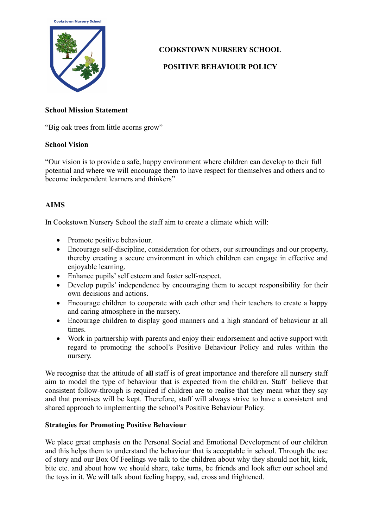**Cookstown Nursery School** 



# **COOKSTOWN NURSERY SCHOOL**

# **POSITIVE BEHAVIOUR POLICY**

## **School Mission Statement**

"Big oak trees from little acorns grow"

## **School Vision**

"Our vision is to provide a safe, happy environment where children can develop to their full potential and where we will encourage them to have respect for themselves and others and to become independent learners and thinkers"

# **AIMS**

In Cookstown Nursery School the staff aim to create a climate which will:

- Promote positive behaviour.
- Encourage self-discipline, consideration for others, our surroundings and our property, thereby creating a secure environment in which children can engage in effective and enjoyable learning.
- Enhance pupils' self esteem and foster self-respect.
- Develop pupils' independence by encouraging them to accept responsibility for their own decisions and actions.
- Encourage children to cooperate with each other and their teachers to create a happy and caring atmosphere in the nursery.
- Encourage children to display good manners and a high standard of behaviour at all times.
- Work in partnership with parents and enjoy their endorsement and active support with regard to promoting the school's Positive Behaviour Policy and rules within the nursery.

We recognise that the attitude of **all** staff is of great importance and therefore all nursery staff aim to model the type of behaviour that is expected from the children. Staff believe that consistent follow-through is required if children are to realise that they mean what they say and that promises will be kept. Therefore, staff will always strive to have a consistent and shared approach to implementing the school's Positive Behaviour Policy.

# **Strategies for Promoting Positive Behaviour**

We place great emphasis on the Personal Social and Emotional Development of our children and this helps them to understand the behaviour that is acceptable in school. Through the use of story and our Box Of Feelings we talk to the children about why they should not hit, kick, bite etc. and about how we should share, take turns, be friends and look after our school and the toys in it. We will talk about feeling happy, sad, cross and frightened.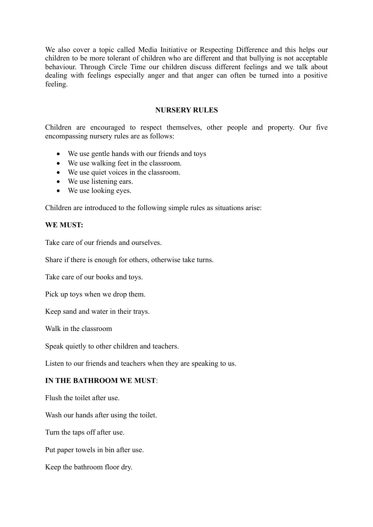We also cover a topic called Media Initiative or Respecting Difference and this helps our children to be more tolerant of children who are different and that bullying is not acceptable behaviour. Through Circle Time our children discuss different feelings and we talk about dealing with feelings especially anger and that anger can often be turned into a positive feeling.

### **NURSERY RULES**

Children are encouraged to respect themselves, other people and property. Our five encompassing nursery rules are as follows:

- We use gentle hands with our friends and toys
- We use walking feet in the classroom.
- We use quiet voices in the classroom.
- We use listening ears.
- We use looking eyes.

Children are introduced to the following simple rules as situations arise:

#### **WE MUST:**

Take care of our friends and ourselves.

Share if there is enough for others, otherwise take turns.

Take care of our books and toys.

Pick up toys when we drop them.

Keep sand and water in their trays.

Walk in the classroom

Speak quietly to other children and teachers.

Listen to our friends and teachers when they are speaking to us.

#### **IN THE BATHROOM WE MUST**:

Flush the toilet after use.

Wash our hands after using the toilet.

Turn the taps off after use.

Put paper towels in bin after use.

Keep the bathroom floor dry.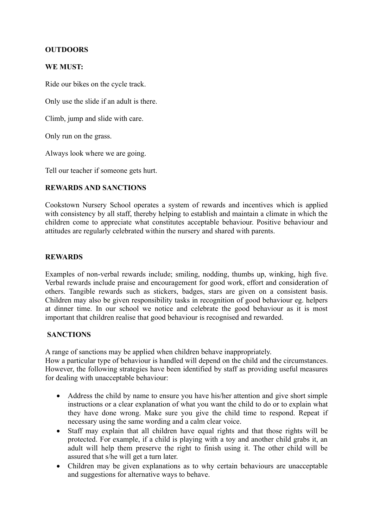### **OUTDOORS**

### **WE MUST:**

Ride our bikes on the cycle track.

Only use the slide if an adult is there.

Climb, jump and slide with care.

Only run on the grass.

Always look where we are going.

Tell our teacher if someone gets hurt.

### **REWARDS AND SANCTIONS**

Cookstown Nursery School operates a system of rewards and incentives which is applied with consistency by all staff, thereby helping to establish and maintain a climate in which the children come to appreciate what constitutes acceptable behaviour. Positive behaviour and attitudes are regularly celebrated within the nursery and shared with parents.

### **REWARDS**

Examples of non-verbal rewards include; smiling, nodding, thumbs up, winking, high five. Verbal rewards include praise and encouragement for good work, effort and consideration of others. Tangible rewards such as stickers, badges, stars are given on a consistent basis. Children may also be given responsibility tasks in recognition of good behaviour eg. helpers at dinner time. In our school we notice and celebrate the good behaviour as it is most important that children realise that good behaviour is recognised and rewarded.

### **SANCTIONS**

A range of sanctions may be applied when children behave inappropriately.

How a particular type of behaviour is handled will depend on the child and the circumstances. However, the following strategies have been identified by staff as providing useful measures for dealing with unacceptable behaviour:

- Address the child by name to ensure you have his/her attention and give short simple instructions or a clear explanation of what you want the child to do or to explain what they have done wrong. Make sure you give the child time to respond. Repeat if necessary using the same wording and a calm clear voice.
- Staff may explain that all children have equal rights and that those rights will be protected. For example, if a child is playing with a toy and another child grabs it, an adult will help them preserve the right to finish using it. The other child will be assured that s/he will get a turn later.
- Children may be given explanations as to why certain behaviours are unacceptable and suggestions for alternative ways to behave.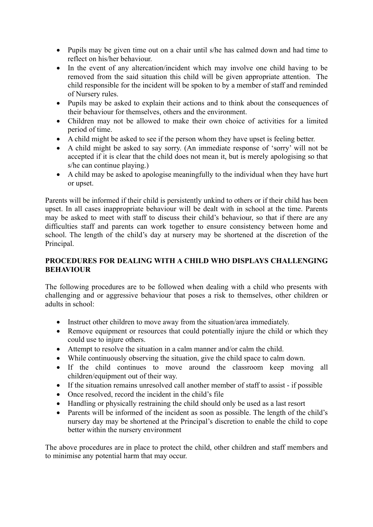- Pupils may be given time out on a chair until s/he has calmed down and had time to reflect on his/her behaviour.
- In the event of any altercation/incident which may involve one child having to be removed from the said situation this child will be given appropriate attention. The child responsible for the incident will be spoken to by a member of staff and reminded of Nursery rules.
- Pupils may be asked to explain their actions and to think about the consequences of their behaviour for themselves, others and the environment.
- Children may not be allowed to make their own choice of activities for a limited period of time.
- A child might be asked to see if the person whom they have upset is feeling better.
- A child might be asked to say sorry. (An immediate response of 'sorry' will not be accepted if it is clear that the child does not mean it, but is merely apologising so that s/he can continue playing.)
- A child may be asked to apologise meaningfully to the individual when they have hurt or upset.

Parents will be informed if their child is persistently unkind to others or if their child has been upset. In all cases inappropriate behaviour will be dealt with in school at the time. Parents may be asked to meet with staff to discuss their child's behaviour, so that if there are any difficulties staff and parents can work together to ensure consistency between home and school. The length of the child's day at nursery may be shortened at the discretion of the Principal.

# **PROCEDURES FOR DEALING WITH A CHILD WHO DISPLAYS CHALLENGING BEHAVIOUR**

The following procedures are to be followed when dealing with a child who presents with challenging and or aggressive behaviour that poses a risk to themselves, other children or adults in school:

- Instruct other children to move away from the situation/area immediately.
- Remove equipment or resources that could potentially injure the child or which they could use to injure others.
- Attempt to resolve the situation in a calm manner and/or calm the child.
- While continuously observing the situation, give the child space to calm down.
- If the child continues to move around the classroom keep moving all children/equipment out of their way.
- If the situation remains unresolved call another member of staff to assist if possible
- Once resolved, record the incident in the child's file
- Handling or physically restraining the child should only be used as a last resort
- Parents will be informed of the incident as soon as possible. The length of the child's nursery day may be shortened at the Principal's discretion to enable the child to cope better within the nursery environment

The above procedures are in place to protect the child, other children and staff members and to minimise any potential harm that may occur.